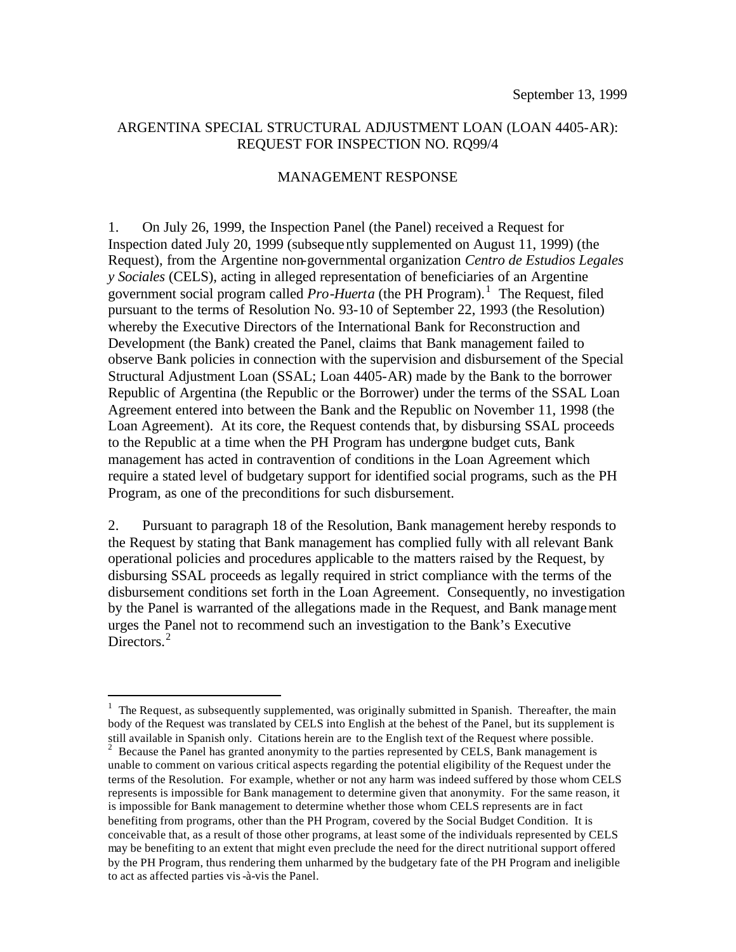#### ARGENTINA SPECIAL STRUCTURAL ADJUSTMENT LOAN (LOAN 4405-AR): REQUEST FOR INSPECTION NO. RQ99/4

#### MANAGEMENT RESPONSE

1. On July 26, 1999, the Inspection Panel (the Panel) received a Request for Inspection dated July 20, 1999 (subsequently supplemented on August 11, 1999) (the Request), from the Argentine non-governmental organization *Centro de Estudios Legales y Sociales* (CELS), acting in alleged representation of beneficiaries of an Argentine government social program called *Pro-Huerta* (the PH Program).<sup>1</sup> The Request, filed pursuant to the terms of Resolution No. 93-10 of September 22, 1993 (the Resolution) whereby the Executive Directors of the International Bank for Reconstruction and Development (the Bank) created the Panel, claims that Bank management failed to observe Bank policies in connection with the supervision and disbursement of the Special Structural Adjustment Loan (SSAL; Loan 4405-AR) made by the Bank to the borrower Republic of Argentina (the Republic or the Borrower) under the terms of the SSAL Loan Agreement entered into between the Bank and the Republic on November 11, 1998 (the Loan Agreement). At its core, the Request contends that, by disbursing SSAL proceeds to the Republic at a time when the PH Program has undergone budget cuts, Bank management has acted in contravention of conditions in the Loan Agreement which require a stated level of budgetary support for identified social programs, such as the PH Program, as one of the preconditions for such disbursement.

2. Pursuant to paragraph 18 of the Resolution, Bank management hereby responds to the Request by stating that Bank management has complied fully with all relevant Bank operational policies and procedures applicable to the matters raised by the Request, by disbursing SSAL proceeds as legally required in strict compliance with the terms of the disbursement conditions set forth in the Loan Agreement. Consequently, no investigation by the Panel is warranted of the allegations made in the Request, and Bank management urges the Panel not to recommend such an investigation to the Bank's Executive Directors.<sup>2</sup>

 $\overline{a}$ 

 $<sup>1</sup>$  The Request, as subsequently supplemented, was originally submitted in Spanish. Thereafter, the main</sup> body of the Request was translated by CELS into English at the behest of the Panel, but its supplement is still available in Spanish only. Citations herein are to the English text of the Request where possible.

<sup>&</sup>lt;sup>2</sup> Because the Panel has granted anonymity to the parties represented by CELS, Bank management is unable to comment on various critical aspects regarding the potential eligibility of the Request under the terms of the Resolution. For example, whether or not any harm was indeed suffered by those whom CELS represents is impossible for Bank management to determine given that anonymity. For the same reason, it is impossible for Bank management to determine whether those whom CELS represents are in fact benefiting from programs, other than the PH Program, covered by the Social Budget Condition. It is conceivable that, as a result of those other programs, at least some of the individuals represented by CELS may be benefiting to an extent that might even preclude the need for the direct nutritional support offered by the PH Program, thus rendering them unharmed by the budgetary fate of the PH Program and ineligible to act as affected parties vis-à-vis the Panel.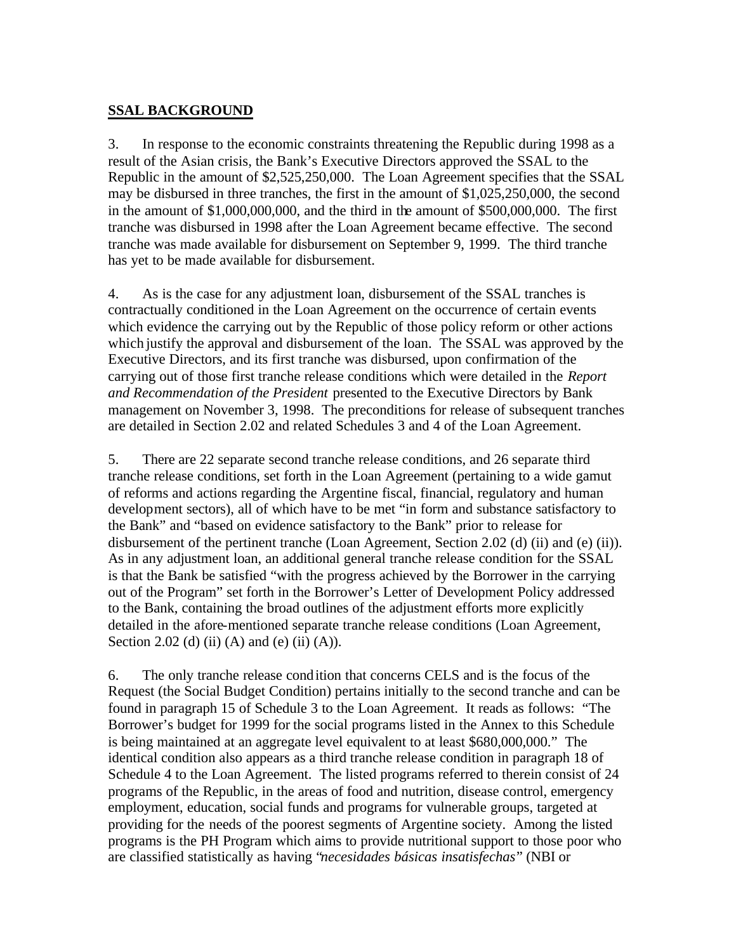## **SSAL BACKGROUND**

3. In response to the economic constraints threatening the Republic during 1998 as a result of the Asian crisis, the Bank's Executive Directors approved the SSAL to the Republic in the amount of \$2,525,250,000. The Loan Agreement specifies that the SSAL may be disbursed in three tranches, the first in the amount of \$1,025,250,000, the second in the amount of \$1,000,000,000, and the third in the amount of \$500,000,000. The first tranche was disbursed in 1998 after the Loan Agreement became effective. The second tranche was made available for disbursement on September 9, 1999. The third tranche has yet to be made available for disbursement.

4. As is the case for any adjustment loan, disbursement of the SSAL tranches is contractually conditioned in the Loan Agreement on the occurrence of certain events which evidence the carrying out by the Republic of those policy reform or other actions which justify the approval and disbursement of the loan. The SSAL was approved by the Executive Directors, and its first tranche was disbursed, upon confirmation of the carrying out of those first tranche release conditions which were detailed in the *Report and Recommendation of the President* presented to the Executive Directors by Bank management on November 3, 1998. The preconditions for release of subsequent tranches are detailed in Section 2.02 and related Schedules 3 and 4 of the Loan Agreement.

5. There are 22 separate second tranche release conditions, and 26 separate third tranche release conditions, set forth in the Loan Agreement (pertaining to a wide gamut of reforms and actions regarding the Argentine fiscal, financial, regulatory and human development sectors), all of which have to be met "in form and substance satisfactory to the Bank" and "based on evidence satisfactory to the Bank" prior to release for disbursement of the pertinent tranche (Loan Agreement, Section 2.02 (d) (ii) and (e) (ii)). As in any adjustment loan, an additional general tranche release condition for the SSAL is that the Bank be satisfied "with the progress achieved by the Borrower in the carrying out of the Program" set forth in the Borrower's Letter of Development Policy addressed to the Bank, containing the broad outlines of the adjustment efforts more explicitly detailed in the afore-mentioned separate tranche release conditions (Loan Agreement, Section 2.02 (d) (ii) (A) and (e) (ii) (A)).

6. The only tranche release condition that concerns CELS and is the focus of the Request (the Social Budget Condition) pertains initially to the second tranche and can be found in paragraph 15 of Schedule 3 to the Loan Agreement. It reads as follows: "The Borrower's budget for 1999 for the social programs listed in the Annex to this Schedule is being maintained at an aggregate level equivalent to at least \$680,000,000." The identical condition also appears as a third tranche release condition in paragraph 18 of Schedule 4 to the Loan Agreement. The listed programs referred to therein consist of 24 programs of the Republic, in the areas of food and nutrition, disease control, emergency employment, education, social funds and programs for vulnerable groups, targeted at providing for the needs of the poorest segments of Argentine society. Among the listed programs is the PH Program which aims to provide nutritional support to those poor who are classified statistically as having "*necesidades básicas insatisfechas*" (NBI or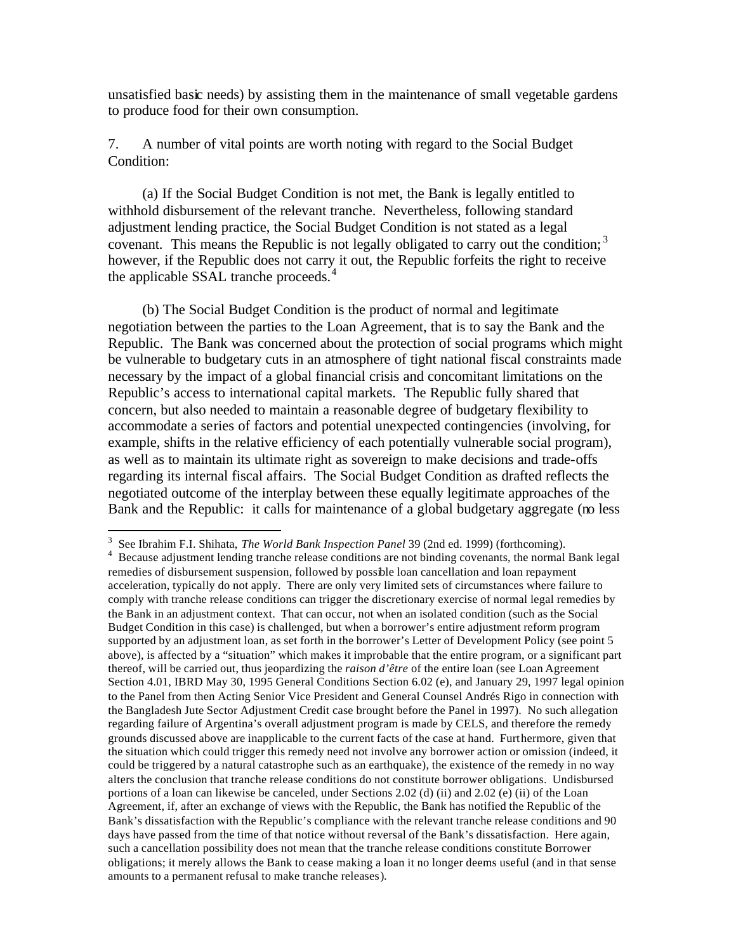unsatisfied basic needs) by assisting them in the maintenance of small vegetable gardens to produce food for their own consumption.

7. A number of vital points are worth noting with regard to the Social Budget Condition:

(a) If the Social Budget Condition is not met, the Bank is legally entitled to withhold disbursement of the relevant tranche. Nevertheless, following standard adjustment lending practice, the Social Budget Condition is not stated as a legal covenant. This means the Republic is not legally obligated to carry out the condition;  $3$ however, if the Republic does not carry it out, the Republic forfeits the right to receive the applicable SSAL tranche proceeds.<sup>4</sup>

(b) The Social Budget Condition is the product of normal and legitimate negotiation between the parties to the Loan Agreement, that is to say the Bank and the Republic. The Bank was concerned about the protection of social programs which might be vulnerable to budgetary cuts in an atmosphere of tight national fiscal constraints made necessary by the impact of a global financial crisis and concomitant limitations on the Republic's access to international capital markets. The Republic fully shared that concern, but also needed to maintain a reasonable degree of budgetary flexibility to accommodate a series of factors and potential unexpected contingencies (involving, for example, shifts in the relative efficiency of each potentially vulnerable social program), as well as to maintain its ultimate right as sovereign to make decisions and trade-offs regarding its internal fiscal affairs. The Social Budget Condition as drafted reflects the negotiated outcome of the interplay between these equally legitimate approaches of the Bank and the Republic: it calls for maintenance of a global budgetary aggregate (no less

 $\overline{a}$ 

<sup>3</sup> See Ibrahim F.I. Shihata, *The World Bank Inspection Panel* 39 (2nd ed. 1999) (forthcoming). <sup>4</sup> Because adjustment lending tranche release conditions are not binding covenants, the normal Bank legal remedies of disbursement suspension, followed by possible loan cancellation and loan repayment acceleration, typically do not apply. There are only very limited sets of circumstances where failure to comply with tranche release conditions can trigger the discretionary exercise of normal legal remedies by the Bank in an adjustment context. That can occur, not when an isolated condition (such as the Social Budget Condition in this case) is challenged, but when a borrower's entire adjustment reform program supported by an adjustment loan, as set forth in the borrower's Letter of Development Policy (see point 5 above), is affected by a "situation" which makes it improbable that the entire program, or a significant part thereof, will be carried out, thus jeopardizing the *raison d'être* of the entire loan (see Loan Agreement Section 4.01, IBRD May 30, 1995 General Conditions Section 6.02 (e), and January 29, 1997 legal opinion to the Panel from then Acting Senior Vice President and General Counsel Andrés Rigo in connection with the Bangladesh Jute Sector Adjustment Credit case brought before the Panel in 1997). No such allegation regarding failure of Argentina's overall adjustment program is made by CELS, and therefore the remedy grounds discussed above are inapplicable to the current facts of the case at hand. Furthermore, given that the situation which could trigger this remedy need not involve any borrower action or omission (indeed, it could be triggered by a natural catastrophe such as an earthquake), the existence of the remedy in no way alters the conclusion that tranche release conditions do not constitute borrower obligations. Undisbursed portions of a loan can likewise be canceled, under Sections 2.02 (d) (ii) and 2.02 (e) (ii) of the Loan Agreement, if, after an exchange of views with the Republic, the Bank has notified the Republic of the Bank's dissatisfaction with the Republic's compliance with the relevant tranche release conditions and 90 days have passed from the time of that notice without reversal of the Bank's dissatisfaction. Here again, such a cancellation possibility does not mean that the tranche release conditions constitute Borrower obligations; it merely allows the Bank to cease making a loan it no longer deems useful (and in that sense amounts to a permanent refusal to make tranche releases).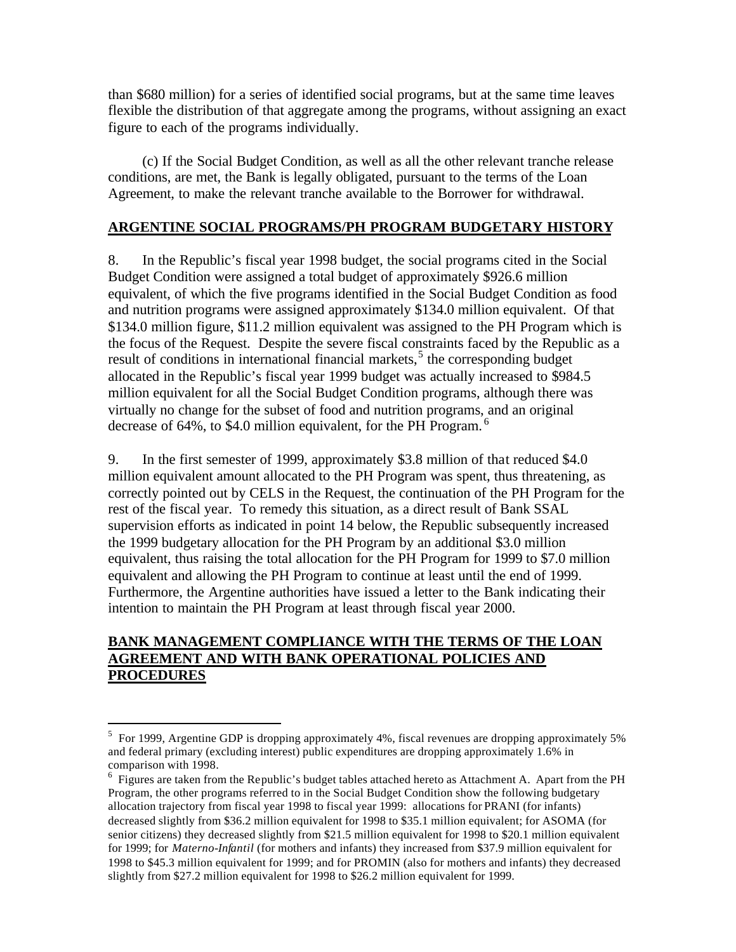than \$680 million) for a series of identified social programs, but at the same time leaves flexible the distribution of that aggregate among the programs, without assigning an exact figure to each of the programs individually.

(c) If the Social Budget Condition, as well as all the other relevant tranche release conditions, are met, the Bank is legally obligated, pursuant to the terms of the Loan Agreement, to make the relevant tranche available to the Borrower for withdrawal.

### **ARGENTINE SOCIAL PROGRAMS/PH PROGRAM BUDGETARY HISTORY**

8. In the Republic's fiscal year 1998 budget, the social programs cited in the Social Budget Condition were assigned a total budget of approximately \$926.6 million equivalent, of which the five programs identified in the Social Budget Condition as food and nutrition programs were assigned approximately \$134.0 million equivalent. Of that \$134.0 million figure, \$11.2 million equivalent was assigned to the PH Program which is the focus of the Request. Despite the severe fiscal constraints faced by the Republic as a result of conditions in international financial markets,<sup>5</sup> the corresponding budget allocated in the Republic's fiscal year 1999 budget was actually increased to \$984.5 million equivalent for all the Social Budget Condition programs, although there was virtually no change for the subset of food and nutrition programs, and an original decrease of 64%, to \$4.0 million equivalent, for the PH Program.<sup>6</sup>

9. In the first semester of 1999, approximately \$3.8 million of that reduced \$4.0 million equivalent amount allocated to the PH Program was spent, thus threatening, as correctly pointed out by CELS in the Request, the continuation of the PH Program for the rest of the fiscal year. To remedy this situation, as a direct result of Bank SSAL supervision efforts as indicated in point 14 below, the Republic subsequently increased the 1999 budgetary allocation for the PH Program by an additional \$3.0 million equivalent, thus raising the total allocation for the PH Program for 1999 to \$7.0 million equivalent and allowing the PH Program to continue at least until the end of 1999. Furthermore, the Argentine authorities have issued a letter to the Bank indicating their intention to maintain the PH Program at least through fiscal year 2000.

### **BANK MANAGEMENT COMPLIANCE WITH THE TERMS OF THE LOAN AGREEMENT AND WITH BANK OPERATIONAL POLICIES AND PROCEDURES**

 $\overline{a}$ 

<sup>&</sup>lt;sup>5</sup> For 1999, Argentine GDP is dropping approximately 4%, fiscal revenues are dropping approximately 5% and federal primary (excluding interest) public expenditures are dropping approximately 1.6% in comparison with 1998.

 $6$  Figures are taken from the Republic's budget tables attached hereto as Attachment A. Apart from the PH Program, the other programs referred to in the Social Budget Condition show the following budgetary allocation trajectory from fiscal year 1998 to fiscal year 1999: allocations for PRANI (for infants) decreased slightly from \$36.2 million equivalent for 1998 to \$35.1 million equivalent; for ASOMA (for senior citizens) they decreased slightly from \$21.5 million equivalent for 1998 to \$20.1 million equivalent for 1999; for *Materno-Infantil* (for mothers and infants) they increased from \$37.9 million equivalent for 1998 to \$45.3 million equivalent for 1999; and for PROMIN (also for mothers and infants) they decreased slightly from \$27.2 million equivalent for 1998 to \$26.2 million equivalent for 1999.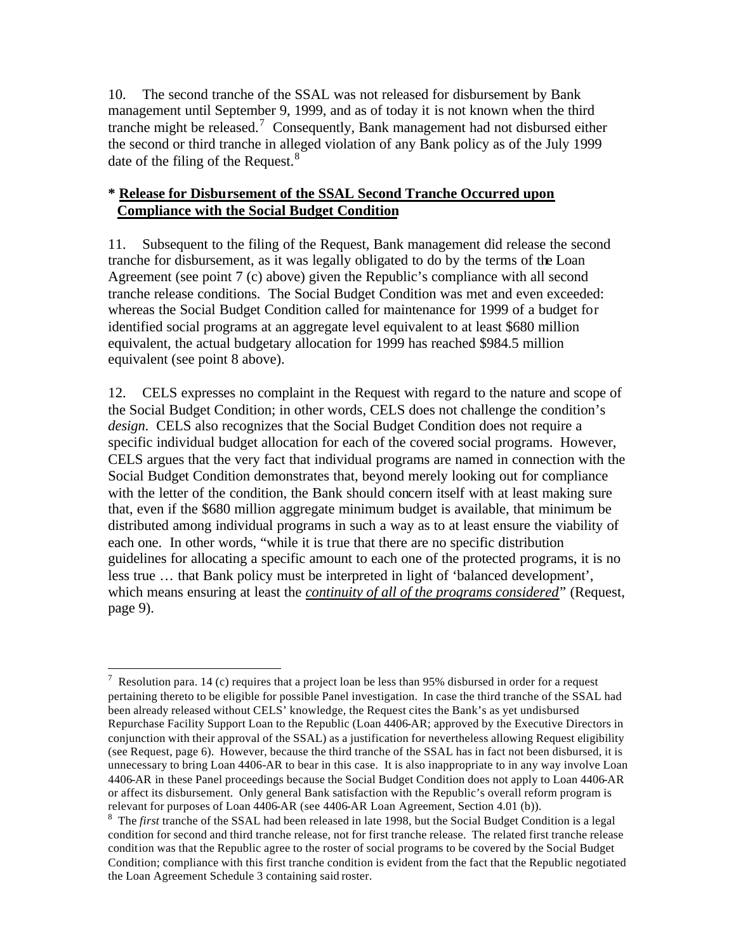10. The second tranche of the SSAL was not released for disbursement by Bank management until September 9, 1999, and as of today it is not known when the third tranche might be released.<sup>7</sup> Consequently, Bank management had not disbursed either the second or third tranche in alleged violation of any Bank policy as of the July 1999 date of the filing of the Request. $8$ 

## **\* Release for Disbursement of the SSAL Second Tranche Occurred upon Compliance with the Social Budget Condition**

11. Subsequent to the filing of the Request, Bank management did release the second tranche for disbursement, as it was legally obligated to do by the terms of the Loan Agreement (see point 7 (c) above) given the Republic's compliance with all second tranche release conditions. The Social Budget Condition was met and even exceeded: whereas the Social Budget Condition called for maintenance for 1999 of a budget for identified social programs at an aggregate level equivalent to at least \$680 million equivalent, the actual budgetary allocation for 1999 has reached \$984.5 million equivalent (see point 8 above).

12. CELS expresses no complaint in the Request with regard to the nature and scope of the Social Budget Condition; in other words, CELS does not challenge the condition's *design*. CELS also recognizes that the Social Budget Condition does not require a specific individual budget allocation for each of the covered social programs. However, CELS argues that the very fact that individual programs are named in connection with the Social Budget Condition demonstrates that, beyond merely looking out for compliance with the letter of the condition, the Bank should concern itself with at least making sure that, even if the \$680 million aggregate minimum budget is available, that minimum be distributed among individual programs in such a way as to at least ensure the viability of each one. In other words, "while it is true that there are no specific distribution guidelines for allocating a specific amount to each one of the protected programs, it is no less true … that Bank policy must be interpreted in light of 'balanced development', which means ensuring at least the *continuity of all of the programs considered*" (Request, page 9).

 $\overline{a}$ <sup>7</sup> Resolution para. 14 (c) requires that a project loan be less than 95% disbursed in order for a request pertaining thereto to be eligible for possible Panel investigation. In case the third tranche of the SSAL had been already released without CELS' knowledge, the Request cites the Bank's as yet undisbursed Repurchase Facility Support Loan to the Republic (Loan 4406-AR; approved by the Executive Directors in conjunction with their approval of the SSAL) as a justification for nevertheless allowing Request eligibility (see Request, page 6). However, because the third tranche of the SSAL has in fact not been disbursed, it is unnecessary to bring Loan 4406-AR to bear in this case. It is also inappropriate to in any way involve Loan 4406-AR in these Panel proceedings because the Social Budget Condition does not apply to Loan 4406-AR or affect its disbursement. Only general Bank satisfaction with the Republic's overall reform program is relevant for purposes of Loan 4406-AR (see 4406-AR Loan Agreement, Section 4.01 (b)).

<sup>&</sup>lt;sup>8</sup> The *first* tranche of the SSAL had been released in late 1998, but the Social Budget Condition is a legal condition for second and third tranche release, not for first tranche release. The related first tranche release condition was that the Republic agree to the roster of social programs to be covered by the Social Budget Condition; compliance with this first tranche condition is evident from the fact that the Republic negotiated the Loan Agreement Schedule 3 containing said roster.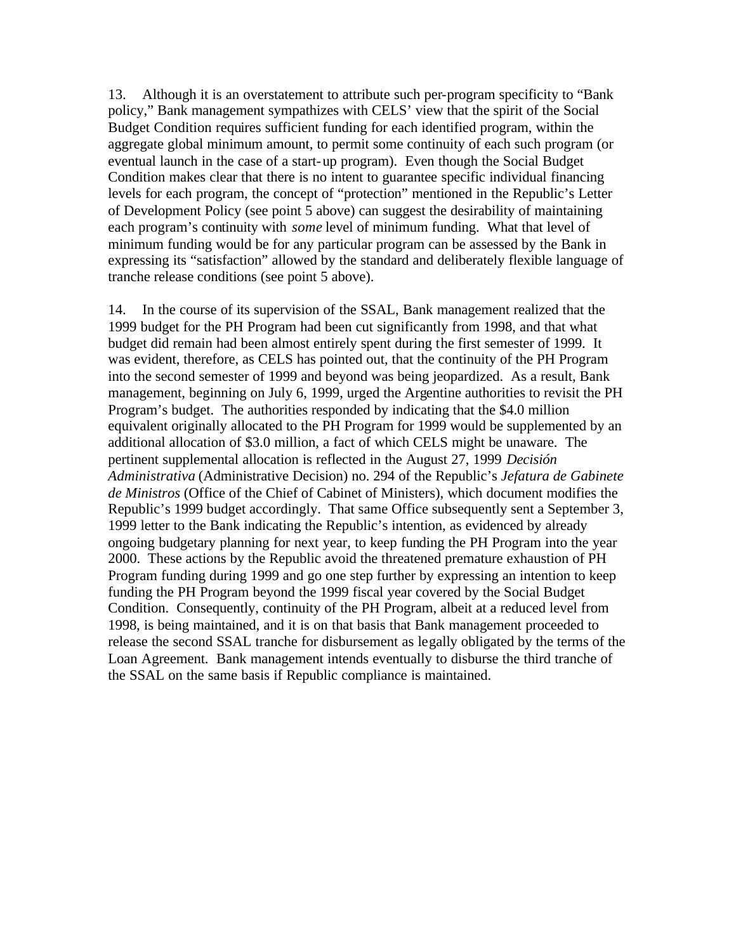13. Although it is an overstatement to attribute such per-program specificity to "Bank policy," Bank management sympathizes with CELS' view that the spirit of the Social Budget Condition requires sufficient funding for each identified program, within the aggregate global minimum amount, to permit some continuity of each such program (or eventual launch in the case of a start-up program). Even though the Social Budget Condition makes clear that there is no intent to guarantee specific individual financing levels for each program, the concept of "protection" mentioned in the Republic's Letter of Development Policy (see point 5 above) can suggest the desirability of maintaining each program's continuity with *some* level of minimum funding. What that level of minimum funding would be for any particular program can be assessed by the Bank in expressing its "satisfaction" allowed by the standard and deliberately flexible language of tranche release conditions (see point 5 above).

14. In the course of its supervision of the SSAL, Bank management realized that the 1999 budget for the PH Program had been cut significantly from 1998, and that what budget did remain had been almost entirely spent during the first semester of 1999. It was evident, therefore, as CELS has pointed out, that the continuity of the PH Program into the second semester of 1999 and beyond was being jeopardized. As a result, Bank management, beginning on July 6, 1999, urged the Argentine authorities to revisit the PH Program's budget. The authorities responded by indicating that the \$4.0 million equivalent originally allocated to the PH Program for 1999 would be supplemented by an additional allocation of \$3.0 million, a fact of which CELS might be unaware. The pertinent supplemental allocation is reflected in the August 27, 1999 *Decisión Administrativa* (Administrative Decision) no. 294 of the Republic's *Jefatura de Gabinete de Ministros* (Office of the Chief of Cabinet of Ministers), which document modifies the Republic's 1999 budget accordingly. That same Office subsequently sent a September 3, 1999 letter to the Bank indicating the Republic's intention, as evidenced by already ongoing budgetary planning for next year, to keep funding the PH Program into the year 2000. These actions by the Republic avoid the threatened premature exhaustion of PH Program funding during 1999 and go one step further by expressing an intention to keep funding the PH Program beyond the 1999 fiscal year covered by the Social Budget Condition. Consequently, continuity of the PH Program, albeit at a reduced level from 1998, is being maintained, and it is on that basis that Bank management proceeded to release the second SSAL tranche for disbursement as legally obligated by the terms of the Loan Agreement. Bank management intends eventually to disburse the third tranche of the SSAL on the same basis if Republic compliance is maintained.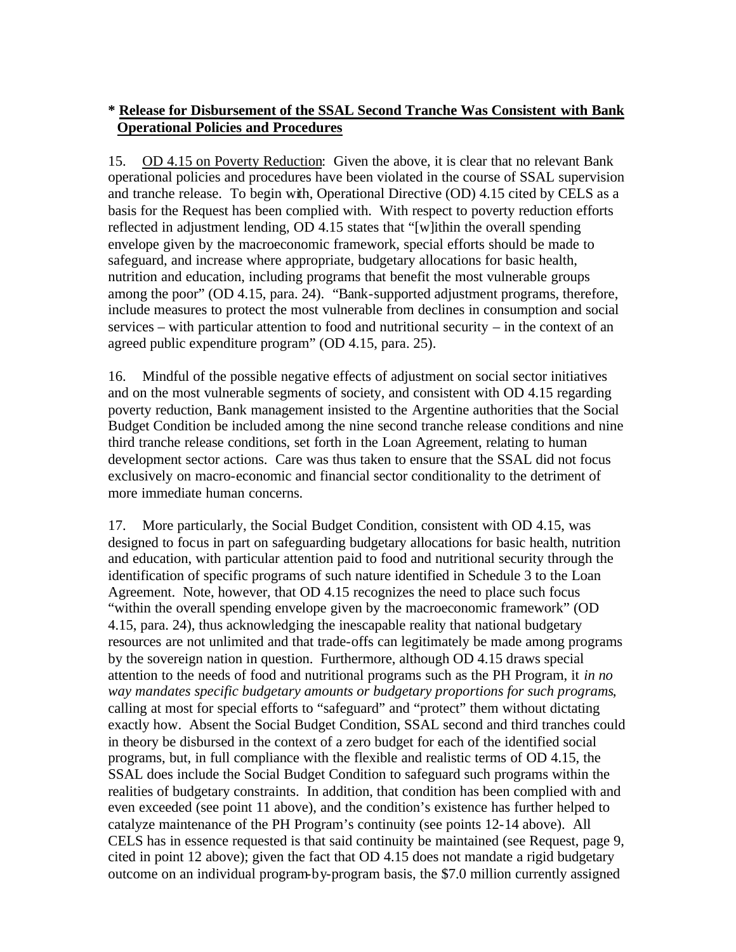# **\* Release for Disbursement of the SSAL Second Tranche Was Consistent with Bank Operational Policies and Procedures**

15. OD 4.15 on Poverty Reduction: Given the above, it is clear that no relevant Bank operational policies and procedures have been violated in the course of SSAL supervision and tranche release. To begin with, Operational Directive (OD) 4.15 cited by CELS as a basis for the Request has been complied with. With respect to poverty reduction efforts reflected in adjustment lending, OD 4.15 states that "[w]ithin the overall spending envelope given by the macroeconomic framework, special efforts should be made to safeguard, and increase where appropriate, budgetary allocations for basic health, nutrition and education, including programs that benefit the most vulnerable groups among the poor" (OD 4.15, para. 24). "Bank-supported adjustment programs, therefore, include measures to protect the most vulnerable from declines in consumption and social services – with particular attention to food and nutritional security – in the context of an agreed public expenditure program" (OD 4.15, para. 25).

16. Mindful of the possible negative effects of adjustment on social sector initiatives and on the most vulnerable segments of society, and consistent with OD 4.15 regarding poverty reduction, Bank management insisted to the Argentine authorities that the Social Budget Condition be included among the nine second tranche release conditions and nine third tranche release conditions, set forth in the Loan Agreement, relating to human development sector actions. Care was thus taken to ensure that the SSAL did not focus exclusively on macro-economic and financial sector conditionality to the detriment of more immediate human concerns.

17. More particularly, the Social Budget Condition, consistent with OD 4.15, was designed to focus in part on safeguarding budgetary allocations for basic health, nutrition and education, with particular attention paid to food and nutritional security through the identification of specific programs of such nature identified in Schedule 3 to the Loan Agreement. Note, however, that OD 4.15 recognizes the need to place such focus "within the overall spending envelope given by the macroeconomic framework" (OD 4.15, para. 24), thus acknowledging the inescapable reality that national budgetary resources are not unlimited and that trade-offs can legitimately be made among programs by the sovereign nation in question. Furthermore, although OD 4.15 draws special attention to the needs of food and nutritional programs such as the PH Program, it *in no way mandates specific budgetary amounts or budgetary proportions for such programs*, calling at most for special efforts to "safeguard" and "protect" them without dictating exactly how. Absent the Social Budget Condition, SSAL second and third tranches could in theory be disbursed in the context of a zero budget for each of the identified social programs, but, in full compliance with the flexible and realistic terms of OD 4.15, the SSAL does include the Social Budget Condition to safeguard such programs within the realities of budgetary constraints. In addition, that condition has been complied with and even exceeded (see point 11 above), and the condition's existence has further helped to catalyze maintenance of the PH Program's continuity (see points 12-14 above). All CELS has in essence requested is that said continuity be maintained (see Request, page 9, cited in point 12 above); given the fact that OD 4.15 does not mandate a rigid budgetary outcome on an individual program-by-program basis, the \$7.0 million currently assigned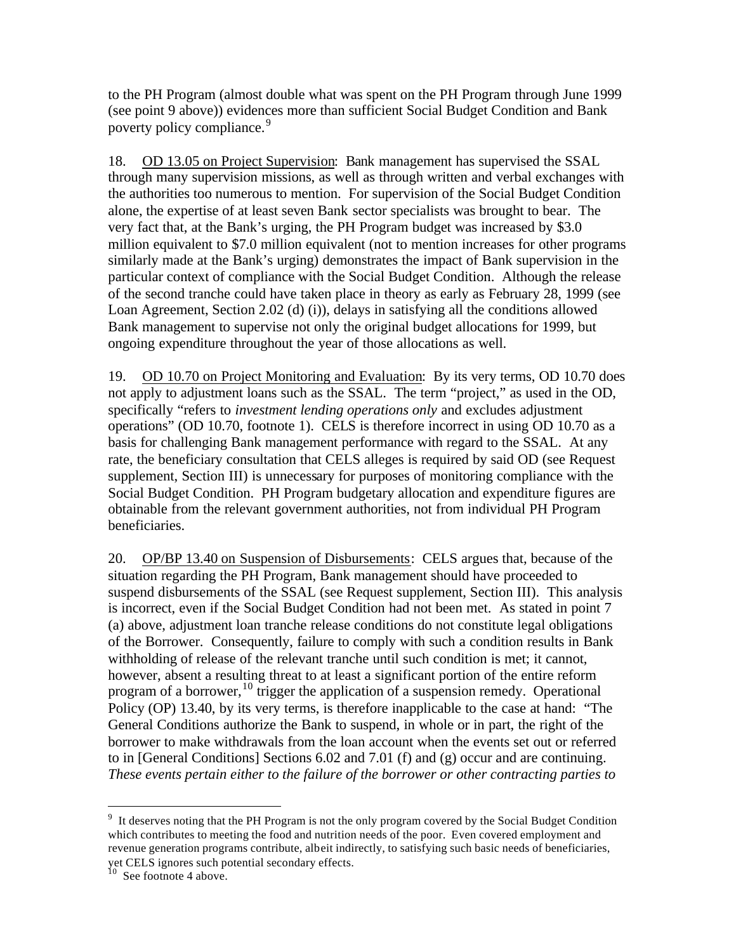to the PH Program (almost double what was spent on the PH Program through June 1999 (see point 9 above)) evidences more than sufficient Social Budget Condition and Bank poverty policy compliance.<sup>9</sup>

18. OD 13.05 on Project Supervision: Bank management has supervised the SSAL through many supervision missions, as well as through written and verbal exchanges with the authorities too numerous to mention. For supervision of the Social Budget Condition alone, the expertise of at least seven Bank sector specialists was brought to bear. The very fact that, at the Bank's urging, the PH Program budget was increased by \$3.0 million equivalent to \$7.0 million equivalent (not to mention increases for other programs similarly made at the Bank's urging) demonstrates the impact of Bank supervision in the particular context of compliance with the Social Budget Condition. Although the release of the second tranche could have taken place in theory as early as February 28, 1999 (see Loan Agreement, Section 2.02 (d) (i)), delays in satisfying all the conditions allowed Bank management to supervise not only the original budget allocations for 1999, but ongoing expenditure throughout the year of those allocations as well.

19. OD 10.70 on Project Monitoring and Evaluation: By its very terms, OD 10.70 does not apply to adjustment loans such as the SSAL. The term "project," as used in the OD, specifically "refers to *investment lending operations only* and excludes adjustment operations" (OD 10.70, footnote 1). CELS is therefore incorrect in using OD 10.70 as a basis for challenging Bank management performance with regard to the SSAL. At any rate, the beneficiary consultation that CELS alleges is required by said OD (see Request supplement, Section III) is unnecessary for purposes of monitoring compliance with the Social Budget Condition. PH Program budgetary allocation and expenditure figures are obtainable from the relevant government authorities, not from individual PH Program beneficiaries.

20. OP/BP 13.40 on Suspension of Disbursements: CELS argues that, because of the situation regarding the PH Program, Bank management should have proceeded to suspend disbursements of the SSAL (see Request supplement, Section III). This analysis is incorrect, even if the Social Budget Condition had not been met. As stated in point 7 (a) above, adjustment loan tranche release conditions do not constitute legal obligations of the Borrower. Consequently, failure to comply with such a condition results in Bank withholding of release of the relevant tranche until such condition is met; it cannot, however, absent a resulting threat to at least a significant portion of the entire reform program of a borrower,  $^{10}$  trigger the application of a suspension remedy. Operational Policy (OP) 13.40, by its very terms, is therefore inapplicable to the case at hand: "The General Conditions authorize the Bank to suspend, in whole or in part, the right of the borrower to make withdrawals from the loan account when the events set out or referred to in [General Conditions] Sections 6.02 and 7.01 (f) and (g) occur and are continuing. *These events pertain either to the failure of the borrower or other contracting parties to* 

<sup>&</sup>lt;sup>9</sup> It deserves noting that the PH Program is not the only program covered by the Social Budget Condition which contributes to meeting the food and nutrition needs of the poor. Even covered employment and revenue generation programs contribute, albeit indirectly, to satisfying such basic needs of beneficiaries,

yet CELS ignores such potential secondary effects.

 $10$  See footnote 4 above.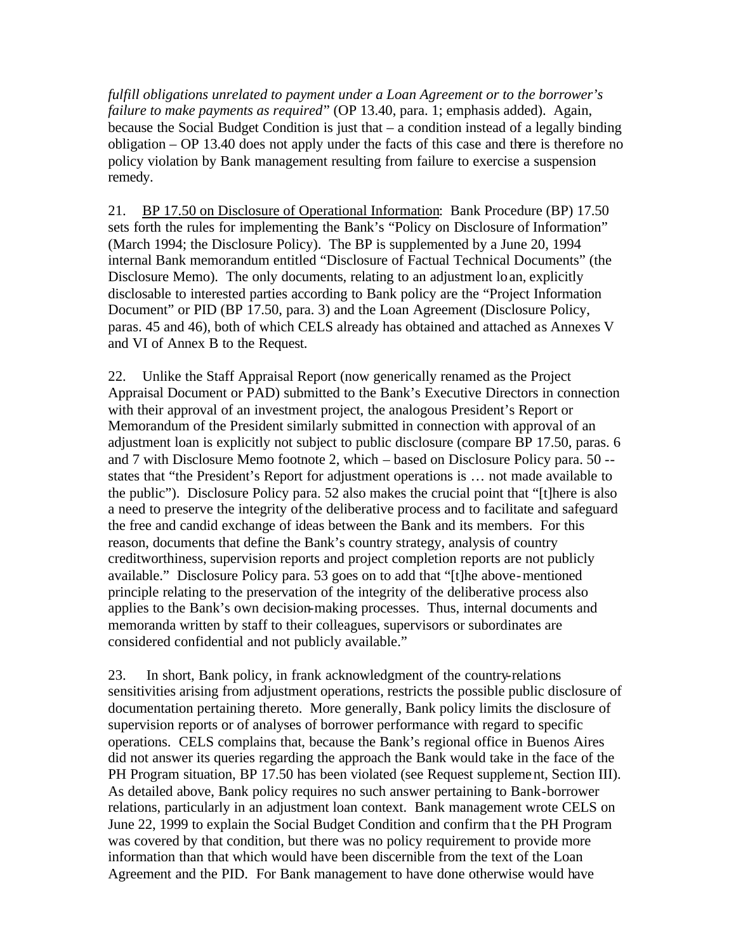*fulfill obligations unrelated to payment under a Loan Agreement or to the borrower's failure to make payments as required*" (OP 13.40, para. 1; emphasis added). Again, because the Social Budget Condition is just that – a condition instead of a legally binding obligation – OP 13.40 does not apply under the facts of this case and there is therefore no policy violation by Bank management resulting from failure to exercise a suspension remedy.

21. BP 17.50 on Disclosure of Operational Information: Bank Procedure (BP) 17.50 sets forth the rules for implementing the Bank's "Policy on Disclosure of Information" (March 1994; the Disclosure Policy). The BP is supplemented by a June 20, 1994 internal Bank memorandum entitled "Disclosure of Factual Technical Documents" (the Disclosure Memo). The only documents, relating to an adjustment loan, explicitly disclosable to interested parties according to Bank policy are the "Project Information Document" or PID (BP 17.50, para. 3) and the Loan Agreement (Disclosure Policy, paras. 45 and 46), both of which CELS already has obtained and attached as Annexes V and VI of Annex B to the Request.

22. Unlike the Staff Appraisal Report (now generically renamed as the Project Appraisal Document or PAD) submitted to the Bank's Executive Directors in connection with their approval of an investment project, the analogous President's Report or Memorandum of the President similarly submitted in connection with approval of an adjustment loan is explicitly not subject to public disclosure (compare BP 17.50, paras. 6 and 7 with Disclosure Memo footnote 2, which – based on Disclosure Policy para. 50 - states that "the President's Report for adjustment operations is … not made available to the public"). Disclosure Policy para. 52 also makes the crucial point that "[t]here is also a need to preserve the integrity of the deliberative process and to facilitate and safeguard the free and candid exchange of ideas between the Bank and its members. For this reason, documents that define the Bank's country strategy, analysis of country creditworthiness, supervision reports and project completion reports are not publicly available." Disclosure Policy para. 53 goes on to add that "[t]he above-mentioned principle relating to the preservation of the integrity of the deliberative process also applies to the Bank's own decision-making processes. Thus, internal documents and memoranda written by staff to their colleagues, supervisors or subordinates are considered confidential and not publicly available."

23. In short, Bank policy, in frank acknowledgment of the country-relations sensitivities arising from adjustment operations, restricts the possible public disclosure of documentation pertaining thereto. More generally, Bank policy limits the disclosure of supervision reports or of analyses of borrower performance with regard to specific operations. CELS complains that, because the Bank's regional office in Buenos Aires did not answer its queries regarding the approach the Bank would take in the face of the PH Program situation, BP 17.50 has been violated (see Request supplement, Section III). As detailed above, Bank policy requires no such answer pertaining to Bank-borrower relations, particularly in an adjustment loan context. Bank management wrote CELS on June 22, 1999 to explain the Social Budget Condition and confirm tha t the PH Program was covered by that condition, but there was no policy requirement to provide more information than that which would have been discernible from the text of the Loan Agreement and the PID. For Bank management to have done otherwise would have